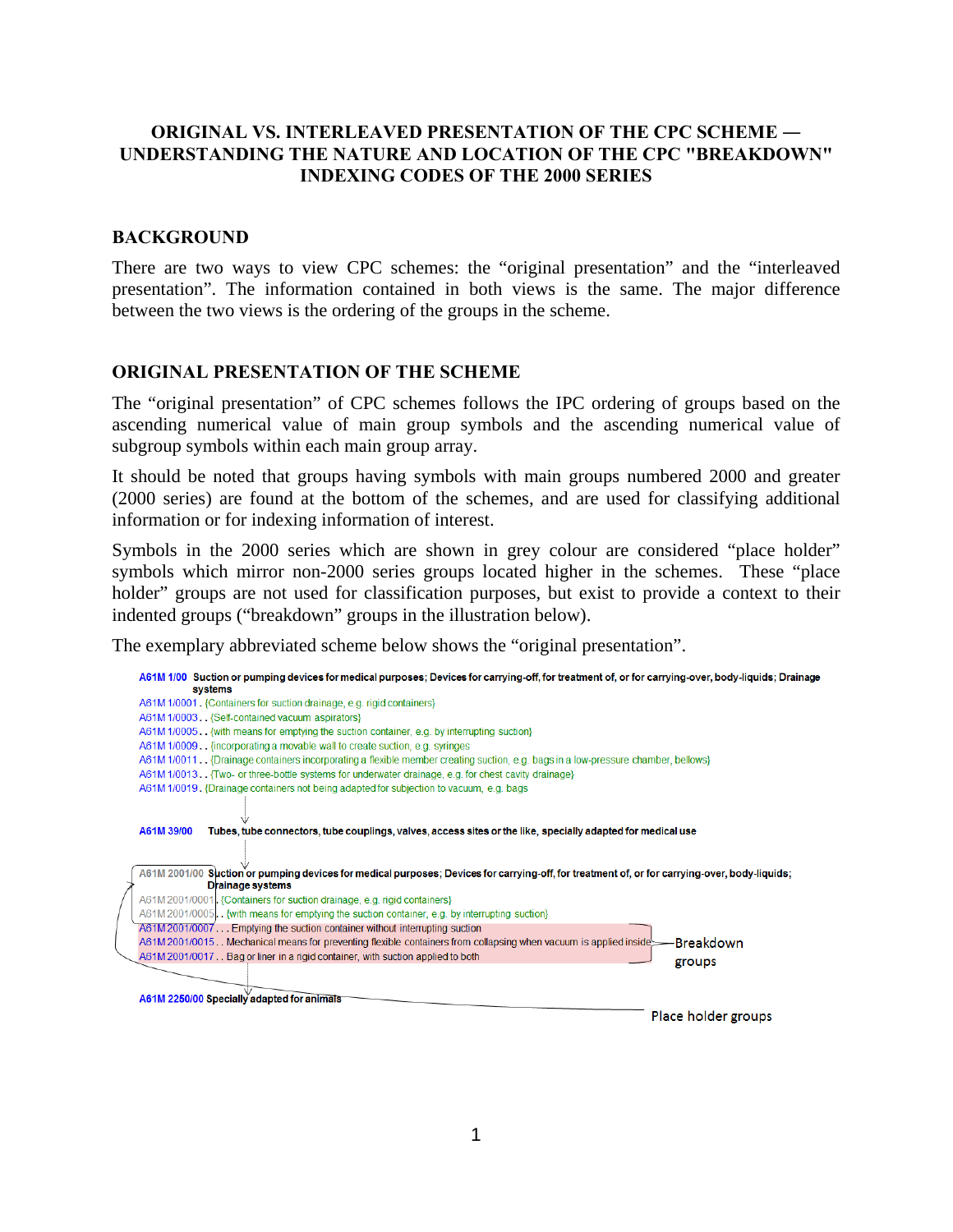## **ORIGINAL VS. INTERLEAVED PRESENTATION OF THE CPC SCHEME ― UNDERSTANDING THE NATURE AND LOCATION OF THE CPC "BREAKDOWN" INDEXING CODES OF THE 2000 SERIES**

## **BACKGROUND**

There are two ways to view CPC schemes: the "original presentation" and the "interleaved presentation". The information contained in both views is the same. The major difference between the two views is the ordering of the groups in the scheme.

## **ORIGINAL PRESENTATION OF THE SCHEME**

The "original presentation" of CPC schemes follows the IPC ordering of groups based on the ascending numerical value of main group symbols and the ascending numerical value of subgroup symbols within each main group array.

It should be noted that groups having symbols with main groups numbered 2000 and greater (2000 series) are found at the bottom of the schemes, and are used for classifying additional information or for indexing information of interest.

Symbols in the 2000 series which are shown in grey colour are considered "place holder" symbols which mirror non-2000 series groups located higher in the schemes. These "place holder" groups are not used for classification purposes, but exist to provide a context to their indented groups ("breakdown" groups in the illustration below).

The exemplary abbreviated scheme below shows the "original presentation".

|                                                                                                                                                                                                                 | A61M 1/00 Suction or pumping devices for medical purposes; Devices for carrying-off, for treatment of, or for carrying-over, body-liquids; Drainage<br>systems                                                                                                                          |  |  |
|-----------------------------------------------------------------------------------------------------------------------------------------------------------------------------------------------------------------|-----------------------------------------------------------------------------------------------------------------------------------------------------------------------------------------------------------------------------------------------------------------------------------------|--|--|
|                                                                                                                                                                                                                 | A61M 1/0001. {Containers for suction drainage, e.g. rigid containers}                                                                                                                                                                                                                   |  |  |
|                                                                                                                                                                                                                 | A61M 1/0003. {Self-contained vacuum aspirators}                                                                                                                                                                                                                                         |  |  |
|                                                                                                                                                                                                                 | A61M 1/0005. {with means for emptying the suction container, e.g. by interrupting suction}                                                                                                                                                                                              |  |  |
| A61M 1/0009. [incorporating a movable wall to create suction, e.g. syringes]<br>A61M 1/0011. Drainage containers incorporating a flexible member creating suction, e.g. bags in a low-pressure chamber, bellows |                                                                                                                                                                                                                                                                                         |  |  |
|                                                                                                                                                                                                                 |                                                                                                                                                                                                                                                                                         |  |  |
|                                                                                                                                                                                                                 | A61M 1/0019. {Drainage containers not being adapted for subjection to vacuum, e.g. bags                                                                                                                                                                                                 |  |  |
|                                                                                                                                                                                                                 | A61M 39/00                                                                                                                                                                                                                                                                              |  |  |
|                                                                                                                                                                                                                 | Tubes, tube connectors, tube couplings, valves, access sites or the like, specially adapted for medical use<br>A61M 2001/00 Suction or pumping devices for medical purposes; Devices for carrying-off, for treatment of, or for carrying-over, body-liquids;<br><b>Drainage systems</b> |  |  |
|                                                                                                                                                                                                                 | A61M 2001/0001. {Containers for suction drainage, e.g. rigid containers}                                                                                                                                                                                                                |  |  |
|                                                                                                                                                                                                                 | A61M 2001/0005. {with means for emptying the suction container, e.g. by interrupting suction}                                                                                                                                                                                           |  |  |
|                                                                                                                                                                                                                 | A61M 2001/0007 Emptying the suction container without interrupting suction                                                                                                                                                                                                              |  |  |
|                                                                                                                                                                                                                 | A61M 2001/0015. Mechanical means for preventing flexible containers from collapsing when vacuum is applied inside<br>-Breakdown                                                                                                                                                         |  |  |
|                                                                                                                                                                                                                 | A61M 2001/0017. Bag or liner in a rigid container, with suction applied to both<br>groups                                                                                                                                                                                               |  |  |
|                                                                                                                                                                                                                 |                                                                                                                                                                                                                                                                                         |  |  |
|                                                                                                                                                                                                                 | A61M 2250/00 Specially adapted for animals                                                                                                                                                                                                                                              |  |  |
|                                                                                                                                                                                                                 | Place holder groups                                                                                                                                                                                                                                                                     |  |  |
|                                                                                                                                                                                                                 |                                                                                                                                                                                                                                                                                         |  |  |